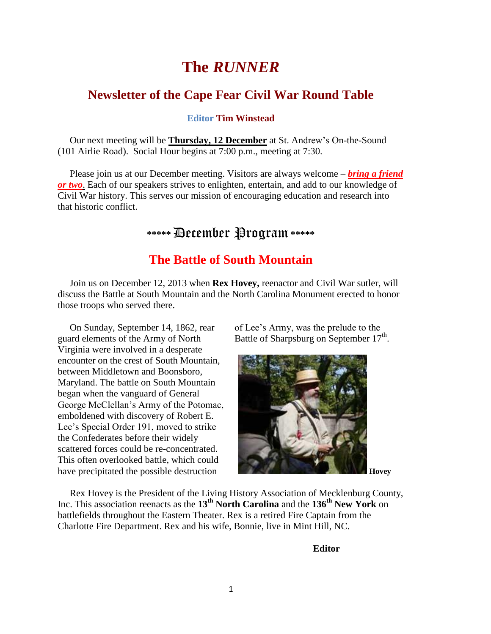# **The** *RUNNER*

## **Newsletter of the Cape Fear Civil War Round Table**

**Editor Tim Winstead**

 Our next meeting will be **Thursday, 12 December** at St. Andrew's On-the-Sound (101 Airlie Road). Social Hour begins at 7:00 p.m., meeting at 7:30.

Please join us at our December meeting. Visitors are always welcome – *bring a friend or two*. Each of our speakers strives to enlighten, entertain, and add to our knowledge of Civil War history. This serves our mission of encouraging education and research into that historic conflict.

## **\*\*\*\*\*** December Program **\*\*\*\*\***

## **The Battle of South Mountain**

 Join us on December 12, 2013 when **Rex Hovey,** reenactor and Civil War sutler, will discuss the Battle at South Mountain and the North Carolina Monument erected to honor those troops who served there.

 On Sunday, September 14, 1862, rear guard elements of the Army of North Virginia were involved in a desperate encounter on the crest of South Mountain, between Middletown and Boonsboro, Maryland. The battle on South Mountain began when the vanguard of General George McClellan's Army of the Potomac, emboldened with discovery of Robert E. Lee's Special Order 191, moved to strike the Confederates before their widely scattered forces could be re-concentrated. This often overlooked battle, which could have precipitated the possible destruction

of Lee's Army, was the prelude to the Battle of Sharpsburg on September 17<sup>th</sup>.



**Hovey**

 Rex Hovey is the President of the Living History Association of Mecklenburg County, Inc. This association reenacts as the **13th North Carolina** and the **136th New York** on battlefields throughout the Eastern Theater. Rex is a retired Fire Captain from the Charlotte Fire Department. Rex and his wife, Bonnie, live in Mint Hill, NC.

**Editor**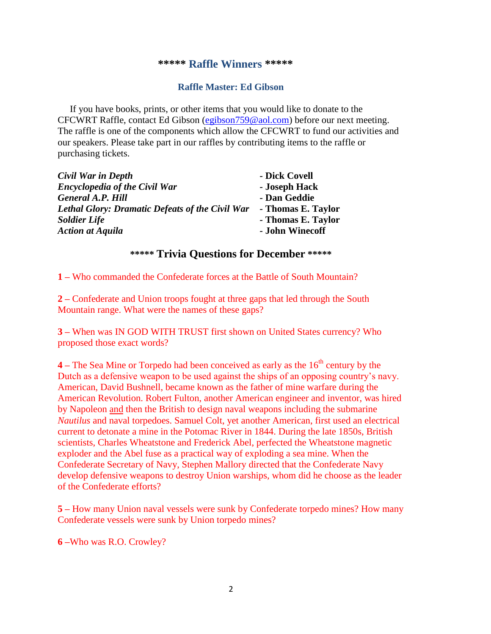#### **\*\*\*\*\* Raffle Winners \*\*\*\*\***

#### **Raffle Master: Ed Gibson**

If you have books, prints, or other items that you would like to donate to the CFCWRT Raffle, contact Ed Gibson [\(egibson759@aol.com\)](mailto:egibson759@aol.com) before our next meeting. The raffle is one of the components which allow the CFCWRT to fund our activities and our speakers. Please take part in our raffles by contributing items to the raffle or purchasing tickets.

| Civil War in Depth                                     | - Dick Covell      |
|--------------------------------------------------------|--------------------|
| <b>Encyclopedia of the Civil War</b>                   | - Joseph Hack      |
| <b>General A.P. Hill</b>                               | - Dan Geddie       |
| <b>Lethal Glory: Dramatic Defeats of the Civil War</b> | - Thomas E. Taylor |
| <b>Soldier Life</b>                                    | - Thomas E. Taylor |
| <b>Action at Aquila</b>                                | - John Winecoff    |

#### **\*\*\*\*\* Trivia Questions for December \*\*\*\*\***

**1 –** Who commanded the Confederate forces at the Battle of South Mountain?

**2 –** Confederate and Union troops fought at three gaps that led through the South Mountain range. What were the names of these gaps?

**3 –** When was IN GOD WITH TRUST first shown on United States currency? Who proposed those exact words?

**4** – The Sea Mine or Torpedo had been conceived as early as the 16<sup>th</sup> century by the Dutch as a defensive weapon to be used against the ships of an opposing country's navy. American, David Bushnell, became known as the father of mine warfare during the American Revolution. Robert Fulton, another American engineer and inventor, was hired by Napoleon and then the British to design naval weapons including the submarine *Nautilus* and naval torpedoes. Samuel Colt, yet another American, first used an electrical current to detonate a mine in the Potomac River in 1844. During the late 1850s, British scientists, Charles Wheatstone and Frederick Abel, perfected the Wheatstone magnetic exploder and the Abel fuse as a practical way of exploding a sea mine. When the Confederate Secretary of Navy, Stephen Mallory directed that the Confederate Navy develop defensive weapons to destroy Union warships, whom did he choose as the leader of the Confederate efforts?

**5 –** How many Union naval vessels were sunk by Confederate torpedo mines? How many Confederate vessels were sunk by Union torpedo mines?

**6 –**Who was R.O. Crowley?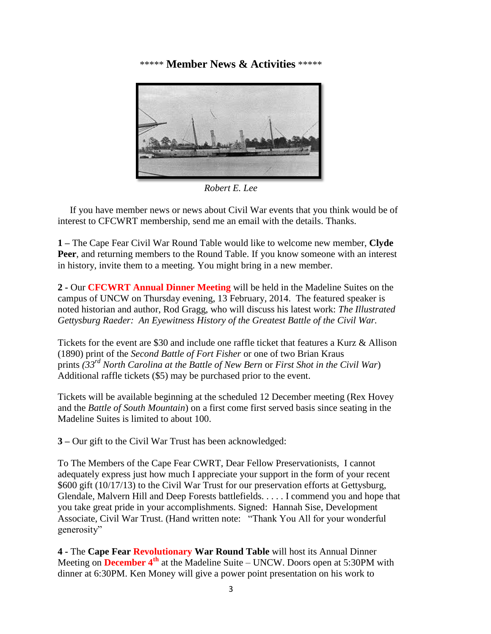\*\*\*\*\* **Member News & Activities** \*\*\*\*\*



*Robert E. Lee*

 If you have member news or news about Civil War events that you think would be of interest to CFCWRT membership, send me an email with the details. Thanks.

**1 –** The Cape Fear Civil War Round Table would like to welcome new member, **Clyde Peer**, and returning members to the Round Table. If you know someone with an interest in history, invite them to a meeting. You might bring in a new member.

**2 -** Our **CFCWRT Annual Dinner Meeting** will be held in the Madeline Suites on the campus of UNCW on Thursday evening, 13 February, 2014. The featured speaker is noted historian and author, Rod Gragg, who will discuss his latest work: *The Illustrated Gettysburg Raeder: An Eyewitness History of the Greatest Battle of the Civil War.*

Tickets for the event are \$30 and include one raffle ticket that features a Kurz & Allison (1890) print of the *Second Battle of Fort Fisher* or one of two Brian Kraus prints *(33rd North Carolina at the Battle of New Bern* or *First Shot in the Civil War*) Additional raffle tickets (\$5) may be purchased prior to the event.

Tickets will be available beginning at the scheduled 12 December meeting (Rex Hovey and the *Battle of South Mountain*) on a first come first served basis since seating in the Madeline Suites is limited to about 100.

**3 –** Our gift to the Civil War Trust has been acknowledged:

To The Members of the Cape Fear CWRT, Dear Fellow Preservationists, I cannot adequately express just how much I appreciate your support in the form of your recent \$600 gift (10/17/13) to the Civil War Trust for our preservation efforts at Gettysburg, Glendale, Malvern Hill and Deep Forests battlefields. . . . . I commend you and hope that you take great pride in your accomplishments. Signed: Hannah Sise, Development Associate, Civil War Trust. (Hand written note: "Thank You All for your wonderful generosity"

**4 -** The **Cape Fear Revolutionary War Round Table** will host its Annual Dinner Meeting on **December 4<sup>th</sup>** at the Madeline Suite – UNCW. Doors open at 5:30PM with dinner at 6:30PM. Ken Money will give a power point presentation on his work to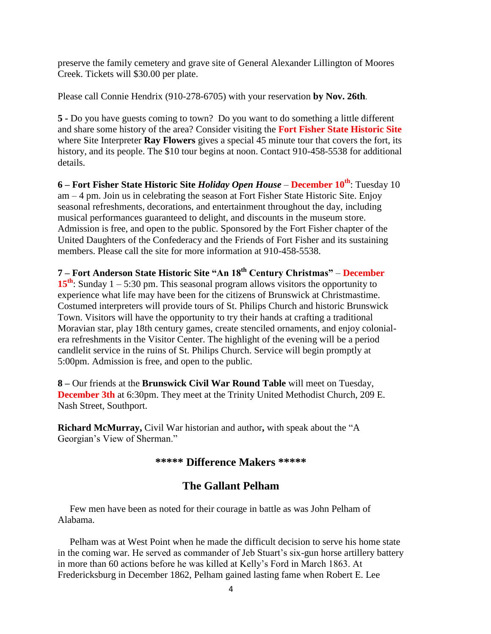preserve the family cemetery and grave site of General Alexander Lillington of Moores Creek. Tickets will \$30.00 per plate.

Please call Connie Hendrix (910-278-6705) with your reservation **by Nov. 26th**.

**5 -** Do you have guests coming to town? Do you want to do something a little different and share some history of the area? Consider visiting the **Fort Fisher State Historic Site** where Site Interpreter **Ray Flowers** gives a special 45 minute tour that covers the fort, its history, and its people. The \$10 tour begins at noon. Contact 910-458-5538 for additional details.

**6 – Fort Fisher State Historic Site** *Holiday Open House* – **December 10th**: Tuesday 10 am – 4 pm. Join us in celebrating the season at Fort Fisher State Historic Site. Enjoy seasonal refreshments, decorations, and entertainment throughout the day, including musical performances guaranteed to delight, and discounts in the museum store. Admission is free, and open to the public. Sponsored by the Fort Fisher chapter of the United Daughters of the Confederacy and the Friends of Fort Fisher and its sustaining members. Please call the site for more information at 910-458-5538.

**7 – Fort Anderson State Historic Site "An 18th Century Christmas"** – **December 15th**: Sunday 1 – 5:30 pm. This seasonal program allows visitors the opportunity to experience what life may have been for the citizens of Brunswick at Christmastime. Costumed interpreters will provide tours of St. Philips Church and historic Brunswick Town. Visitors will have the opportunity to try their hands at crafting a traditional Moravian star, play 18th century games, create stenciled ornaments, and enjoy colonialera refreshments in the Visitor Center. The highlight of the evening will be a period candlelit service in the ruins of St. Philips Church. Service will begin promptly at 5:00pm. Admission is free, and open to the public.

**8 –** Our friends at the **Brunswick Civil War Round Table** will meet on Tuesday, **December 3th** at 6:30pm. They meet at the Trinity United Methodist Church, 209 E. Nash Street, Southport.

**Richard McMurray,** Civil War historian and author**,** with speak about the "A Georgian's View of Sherman."

**\*\*\*\*\* Difference Makers \*\*\*\*\***

#### **The Gallant Pelham**

Few men have been as noted for their courage in battle as was John Pelham of Alabama.

 Pelham was at West Point when he made the difficult decision to serve his home state in the coming war. He served as commander of Jeb Stuart's six-gun horse artillery battery in more than 60 actions before he was killed at Kelly's Ford in March 1863. At Fredericksburg in December 1862, Pelham gained lasting fame when Robert E. Lee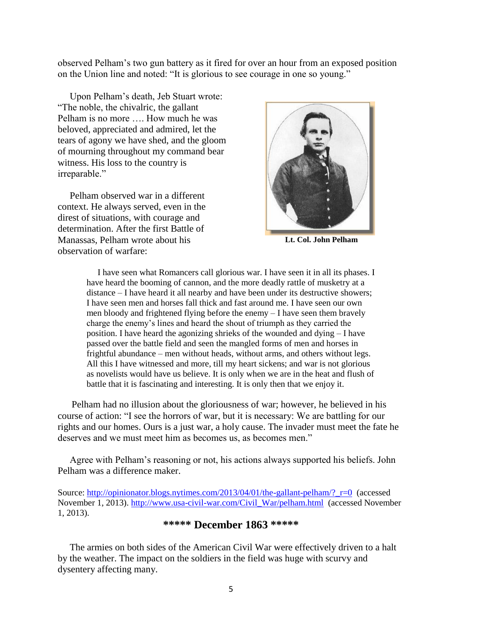observed Pelham's two gun battery as it fired for over an hour from an exposed position on the Union line and noted: "It is glorious to see courage in one so young."

 Upon Pelham's death, Jeb Stuart wrote: "The noble, the chivalric, the gallant Pelham is no more …. How much he was beloved, appreciated and admired, let the tears of agony we have shed, and the gloom of mourning throughout my command bear witness. His loss to the country is irreparable."

 Pelham observed war in a different context. He always served, even in the direst of situations, with courage and determination. After the first Battle of Manassas, Pelham wrote about his observation of warfare:



**Lt. Col. John Pelham**

 I have seen what Romancers call glorious war. I have seen it in all its phases. I have heard the booming of cannon, and the more deadly rattle of musketry at a distance – I have heard it all nearby and have been under its destructive showers; I have seen men and horses fall thick and fast around me. I have seen our own men bloody and frightened flying before the enemy – I have seen them bravely charge the enemy's lines and heard the shout of triumph as they carried the position. I have heard the agonizing shrieks of the wounded and dying – I have passed over the battle field and seen the mangled forms of men and horses in frightful abundance – men without heads, without arms, and others without legs. All this I have witnessed and more, till my heart sickens; and war is not glorious as novelists would have us believe. It is only when we are in the heat and flush of battle that it is fascinating and interesting. It is only then that we enjoy it.

Pelham had no illusion about the gloriousness of war; however, he believed in his course of action: "I see the horrors of war, but it is necessary: We are battling for our rights and our homes. Ours is a just war, a holy cause. The invader must meet the fate he deserves and we must meet him as becomes us, as becomes men."

 Agree with Pelham's reasoning or not, his actions always supported his beliefs. John Pelham was a difference maker.

Source: [http://opinionator.blogs.nytimes.com/2013/04/01/the-gallant-pelham/?\\_r=0](http://opinionator.blogs.nytimes.com/2013/04/01/the-gallant-pelham/?_r=0) (accessed November 1, 2013). [http://www.usa-civil-war.com/Civil\\_War/pelham.html](http://www.usa-civil-war.com/Civil_War/pelham.html) (accessed November 1, 2013).

#### **\*\*\*\*\* December 1863 \*\*\*\*\***

 The armies on both sides of the [American Civil War](http://www.historylearningsite.co.uk/american-civil-war.htm) were effectively driven to a halt by the weather. The impact on the soldiers in the field was huge with scurvy and dysentery affecting many.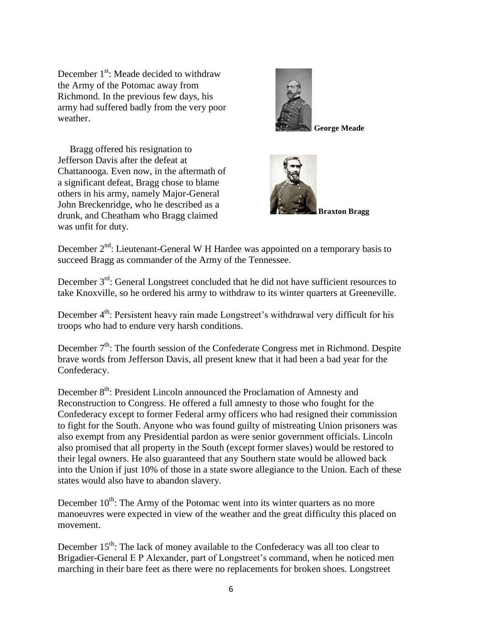December  $1<sup>st</sup>$ : Meade decided to withdraw the Army of the Potomac away from Richmond. In the previous few days, his army had suffered badly from the very poor weather.



 Bragg offered his resignation to Jefferson Davis after the defeat at Chattanooga. Even now, in the aftermath of a significant defeat, Bragg chose to blame others in his army, namely Major-General John Breckenridge, who he described as a drunk, and Cheatham who Bragg claimed was unfit for duty.



**Braxton Bragg**

December  $2<sup>nd</sup>$ : Lieutenant-General W H Hardee was appointed on a temporary basis to succeed Bragg as commander of the Army of the Tennessee.

December  $3<sup>rd</sup>$ : General Longstreet concluded that he did not have sufficient resources to take Knoxville, so he ordered his army to withdraw to its winter quarters at Greeneville.

December 4<sup>th</sup>: Persistent heavy rain made Longstreet's withdrawal very difficult for his troops who had to endure very harsh conditions.

December  $7<sup>th</sup>$ : The fourth session of the Confederate Congress met in Richmond. Despite brave words from Jefferson Davis, all present knew that it had been a bad year for the Confederacy.

December 8<sup>th</sup>: President Lincoln announced the Proclamation of Amnesty and Reconstruction to Congress. He offered a full amnesty to those who fought for the Confederacy except to former Federal army officers who had resigned their commission to fight for the South. Anyone who was found guilty of mistreating Union prisoners was also exempt from any Presidential pardon as were senior government officials. Lincoln also promised that all property in the South (except former slaves) would be restored to their legal owners. He also guaranteed that any Southern state would be allowed back into the Union if just 10% of those in a state swore allegiance to the Union. Each of these states would also have to abandon slavery.

December  $10<sup>th</sup>$ : The Army of the Potomac went into its winter quarters as no more manoeuvres were expected in view of the weather and the great difficulty this placed on movement.

December  $15<sup>th</sup>$ : The lack of money available to the Confederacy was all too clear to Brigadier-General E P Alexander, part of Longstreet's command, when he noticed men marching in their bare feet as there were no replacements for broken shoes. Longstreet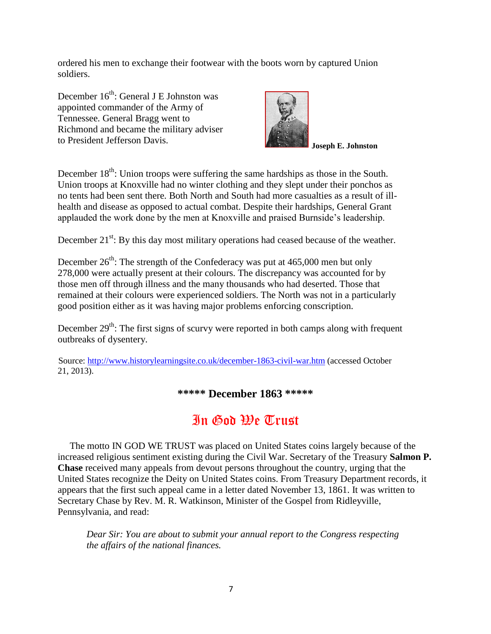ordered his men to exchange their footwear with the boots worn by captured Union soldiers.

December 16<sup>th</sup>: General J E Johnston was appointed commander of the Army of Tennessee. General Bragg went to Richmond and became the military adviser to President Jefferson Davis. **Joseph E. Johnston** 



December  $18<sup>th</sup>$ : Union troops were suffering the same hardships as those in the South. Union troops at Knoxville had no winter clothing and they slept under their ponchos as no tents had been sent there. Both North and South had more casualties as a result of illhealth and disease as opposed to actual combat. Despite their hardships, General Grant applauded the work done by the men at Knoxville and praised Burnside's leadership.

December  $21<sup>st</sup>$ : By this day most military operations had ceased because of the weather.

December  $26^{th}$ : The strength of the Confederacy was put at 465,000 men but only 278,000 were actually present at their colours. The discrepancy was accounted for by those men off through illness and the many thousands who had deserted. Those that remained at their colours were experienced soldiers. The North was not in a particularly good position either as it was having major problems enforcing conscription.

December  $29<sup>th</sup>$ : The first signs of scurvy were reported in both camps along with frequent outbreaks of dysentery.

Source:<http://www.historylearningsite.co.uk/december-1863-civil-war.htm> (accessed October 21, 2013).

**\*\*\*\*\* December 1863 \*\*\*\*\***

## In God We Trust

 The motto IN GOD WE TRUST was placed on United States coins largely because of the increased religious sentiment existing during the Civil War. Secretary of the Treasury **Salmon P. Chase** received many appeals from devout persons throughout the country, urging that the United States recognize the Deity on United States coins. From Treasury Department records, it appears that the first such appeal came in a letter dated November 13, 1861. It was written to Secretary Chase by Rev. M. R. Watkinson, Minister of the Gospel from Ridleyville, Pennsylvania, and read:

*Dear Sir: You are about to submit your annual report to the Congress respecting the affairs of the national finances.*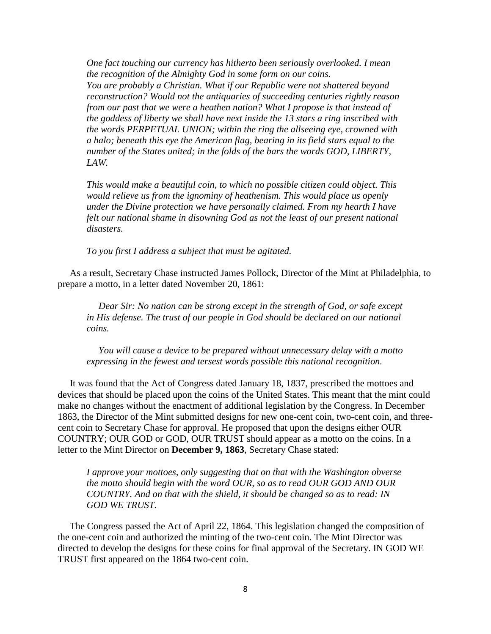*One fact touching our currency has hitherto been seriously overlooked. I mean the recognition of the Almighty God in some form on our coins. You are probably a Christian. What if our Republic were not shattered beyond reconstruction? Would not the antiquaries of succeeding centuries rightly reason from our past that we were a heathen nation? What I propose is that instead of the goddess of liberty we shall have next inside the 13 stars a ring inscribed with the words PERPETUAL UNION; within the ring the allseeing eye, crowned with a halo; beneath this eye the American flag, bearing in its field stars equal to the number of the States united; in the folds of the bars the words GOD, LIBERTY, LAW.*

*This would make a beautiful coin, to which no possible citizen could object. This would relieve us from the ignominy of heathenism. This would place us openly under the Divine protection we have personally claimed. From my hearth I have felt our national shame in disowning God as not the least of our present national disasters.*

*To you first I address a subject that must be agitated.*

 As a result, Secretary Chase instructed James Pollock, Director of the Mint at Philadelphia, to prepare a motto, in a letter dated November 20, 1861:

 *Dear Sir: No nation can be strong except in the strength of God, or safe except*  in His defense. The trust of our people in God should be declared on our national *coins.*

 *You will cause a device to be prepared without unnecessary delay with a motto expressing in the fewest and tersest words possible this national recognition.*

 It was found that the Act of Congress dated January 18, 1837, prescribed the mottoes and devices that should be placed upon the coins of the United States. This meant that the mint could make no changes without the enactment of additional legislation by the Congress. In December 1863, the Director of the Mint submitted designs for new one-cent coin, two-cent coin, and threecent coin to Secretary Chase for approval. He proposed that upon the designs either OUR COUNTRY; OUR GOD or GOD, OUR TRUST should appear as a motto on the coins. In a letter to the Mint Director on **December 9, 1863**, Secretary Chase stated:

*I approve your mottoes, only suggesting that on that with the Washington obverse the motto should begin with the word OUR, so as to read OUR GOD AND OUR COUNTRY. And on that with the shield, it should be changed so as to read: IN GOD WE TRUST.*

 The Congress passed the Act of April 22, 1864. This legislation changed the composition of the one-cent coin and authorized the minting of the two-cent coin. The Mint Director was directed to develop the designs for these coins for final approval of the Secretary. IN GOD WE TRUST first appeared on the 1864 two-cent coin.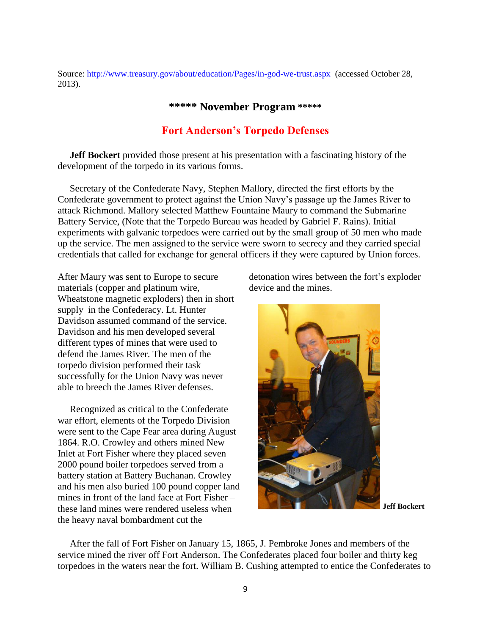Source:<http://www.treasury.gov/about/education/Pages/in-god-we-trust.aspx>(accessed October 28, 2013).

**\*\*\*\*\* November Program \*\*\*\*\***

### **Fort Anderson's Torpedo Defenses**

 **Jeff Bockert** provided those present at his presentation with a fascinating history of the development of the torpedo in its various forms.

 Secretary of the Confederate Navy, Stephen Mallory, directed the first efforts by the Confederate government to protect against the Union Navy's passage up the James River to attack Richmond. Mallory selected Matthew Fountaine Maury to command the Submarine Battery Service, (Note that the Torpedo Bureau was headed by Gabriel F. Rains). Initial experiments with galvanic torpedoes were carried out by the small group of 50 men who made up the service. The men assigned to the service were sworn to secrecy and they carried special credentials that called for exchange for general officers if they were captured by Union forces.

After Maury was sent to Europe to secure materials (copper and platinum wire, Wheatstone magnetic exploders) then in short supply in the Confederacy. Lt. Hunter Davidson assumed command of the service. Davidson and his men developed several different types of mines that were used to defend the James River. The men of the torpedo division performed their task successfully for the Union Navy was never able to breech the James River defenses.

 Recognized as critical to the Confederate war effort, elements of the Torpedo Division were sent to the Cape Fear area during August 1864. R.O. Crowley and others mined New Inlet at Fort Fisher where they placed seven 2000 pound boiler torpedoes served from a battery station at Battery Buchanan. Crowley and his men also buried 100 pound copper land mines in front of the land face at Fort Fisher – these land mines were rendered useless when the heavy naval bombardment cut the

detonation wires between the fort's exploder device and the mines.



**Jeff Bockert**

 After the fall of Fort Fisher on January 15, 1865, J. Pembroke Jones and members of the service mined the river off Fort Anderson. The Confederates placed four boiler and thirty keg torpedoes in the waters near the fort. William B. Cushing attempted to entice the Confederates to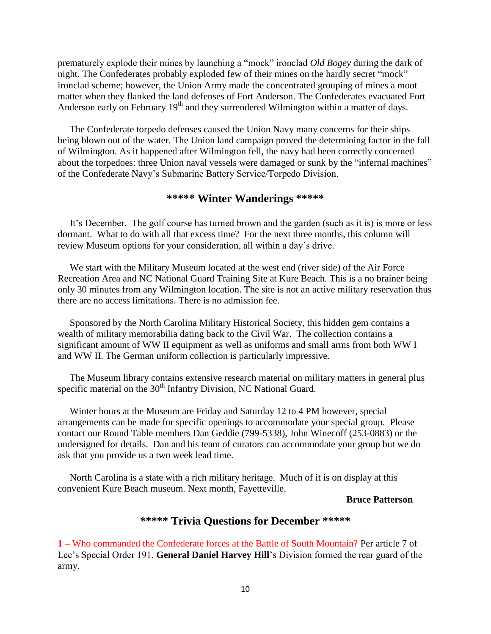prematurely explode their mines by launching a "mock" ironclad *Old Bogey* during the dark of night. The Confederates probably exploded few of their mines on the hardly secret "mock" ironclad scheme; however, the Union Army made the concentrated grouping of mines a moot matter when they flanked the land defenses of Fort Anderson. The Confederates evacuated Fort Anderson early on February  $19<sup>th</sup>$  and they surrendered Wilmington within a matter of days.

 The Confederate torpedo defenses caused the Union Navy many concerns for their ships being blown out of the water. The Union land campaign proved the determining factor in the fall of Wilmington. As it happened after Wilmington fell, the navy had been correctly concerned about the torpedoes: three Union naval vessels were damaged or sunk by the "infernal machines" of the Confederate Navy's Submarine Battery Service/Torpedo Division.

#### **\*\*\*\*\* Winter Wanderings \*\*\*\*\***

 It's December. The golf course has turned brown and the garden (such as it is) is more or less dormant. What to do with all that excess time? For the next three months, this column will review Museum options for your consideration, all within a day's drive.

 We start with the Military Museum located at the west end (river side) of the Air Force Recreation Area and NC National Guard Training Site at Kure Beach. This is a no brainer being only 30 minutes from any Wilmington location. The site is not an active military reservation thus there are no access limitations. There is no admission fee.

 Sponsored by the North Carolina Military Historical Society, this hidden gem contains a wealth of military memorabilia dating back to the Civil War. The collection contains a significant amount of WW II equipment as well as uniforms and small arms from both WW I and WW II. The German uniform collection is particularly impressive.

 The Museum library contains extensive research material on military matters in general plus specific material on the 30<sup>th</sup> Infantry Division, NC National Guard.

 Winter hours at the Museum are Friday and Saturday 12 to 4 PM however, special arrangements can be made for specific openings to accommodate your special group. Please contact our Round Table members Dan Geddie (799-5338), John Winecoff (253-0883) or the undersigned for details. Dan and his team of curators can accommodate your group but we do ask that you provide us a two week lead time.

 North Carolina is a state with a rich military heritage. Much of it is on display at this convenient Kure Beach museum. Next month, Fayetteville.

#### **Bruce Patterson**

#### **\*\*\*\*\* Trivia Questions for December \*\*\*\*\***

**1 –** Who commanded the Confederate forces at the Battle of South Mountain? Per article 7 of Lee's Special Order 191, **General Daniel Harvey Hill**'s Division formed the rear guard of the army.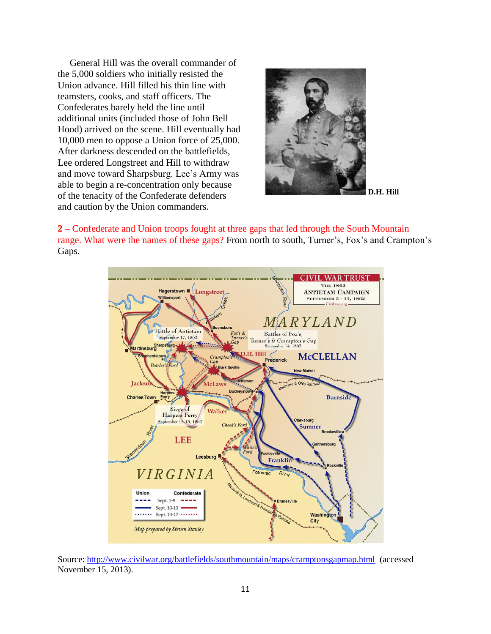General Hill was the overall commander of the 5,000 soldiers who initially resisted the Union advance. Hill filled his thin line with teamsters, cooks, and staff officers. The Confederates barely held the line until additional units (included those of John Bell Hood) arrived on the scene. Hill eventually had 10,000 men to oppose a Union force of 25,000. After darkness descended on the battlefields, Lee ordered Longstreet and Hill to withdraw and move toward Sharpsburg. Lee's Army was able to begin a re-concentration only because of the tenacity of the Confederate defenders and caution by the Union commanders.



**2 –** Confederate and Union troops fought at three gaps that led through the South Mountain range. What were the names of these gaps? From north to south, Turner's, Fox's and Crampton's Gaps.



Source:<http://www.civilwar.org/battlefields/southmountain/maps/cramptonsgapmap.html>(accessed November 15, 2013).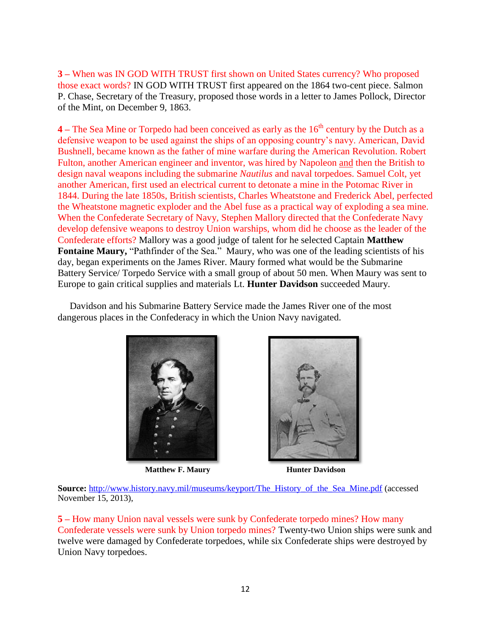**3 –** When was IN GOD WITH TRUST first shown on United States currency? Who proposed those exact words? IN GOD WITH TRUST first appeared on the 1864 two-cent piece. Salmon P. Chase, Secretary of the Treasury, proposed those words in a letter to James Pollock, Director of the Mint, on December 9, 1863.

**4** – The Sea Mine or Torpedo had been conceived as early as the 16<sup>th</sup> century by the Dutch as a defensive weapon to be used against the ships of an opposing country's navy. American, David Bushnell, became known as the father of mine warfare during the American Revolution. Robert Fulton, another American engineer and inventor, was hired by Napoleon and then the British to design naval weapons including the submarine *Nautilus* and naval torpedoes. Samuel Colt, yet another American, first used an electrical current to detonate a mine in the Potomac River in 1844. During the late 1850s, British scientists, Charles Wheatstone and Frederick Abel, perfected the Wheatstone magnetic exploder and the Abel fuse as a practical way of exploding a sea mine. When the Confederate Secretary of Navy, Stephen Mallory directed that the Confederate Navy develop defensive weapons to destroy Union warships, whom did he choose as the leader of the Confederate efforts? Mallory was a good judge of talent for he selected Captain **Matthew Fontaine Maury,** "Pathfinder of the Sea."Maury, who was one of the leading scientists of his day, began experiments on the James River. Maury formed what would be the Submarine Battery Service/ Torpedo Service with a small group of about 50 men. When Maury was sent to Europe to gain critical supplies and materials Lt. **Hunter Davidson** succeeded Maury.

 Davidson and his Submarine Battery Service made the James River one of the most dangerous places in the Confederacy in which the Union Navy navigated.



**Matthew F. Maury Hunter Davidson** 



**Source:** [http://www.history.navy.mil/museums/keyport/The\\_History\\_of\\_the\\_Sea\\_Mine.pdf](http://www.history.navy.mil/museums/keyport/The_History_of_the_Sea_Mine.pdf) (accessed November 15, 2013),

**5 –** How many Union naval vessels were sunk by Confederate torpedo mines? How many Confederate vessels were sunk by Union torpedo mines? Twenty-two Union ships were sunk and twelve were damaged by Confederate torpedoes, while six Confederate ships were destroyed by Union Navy torpedoes.